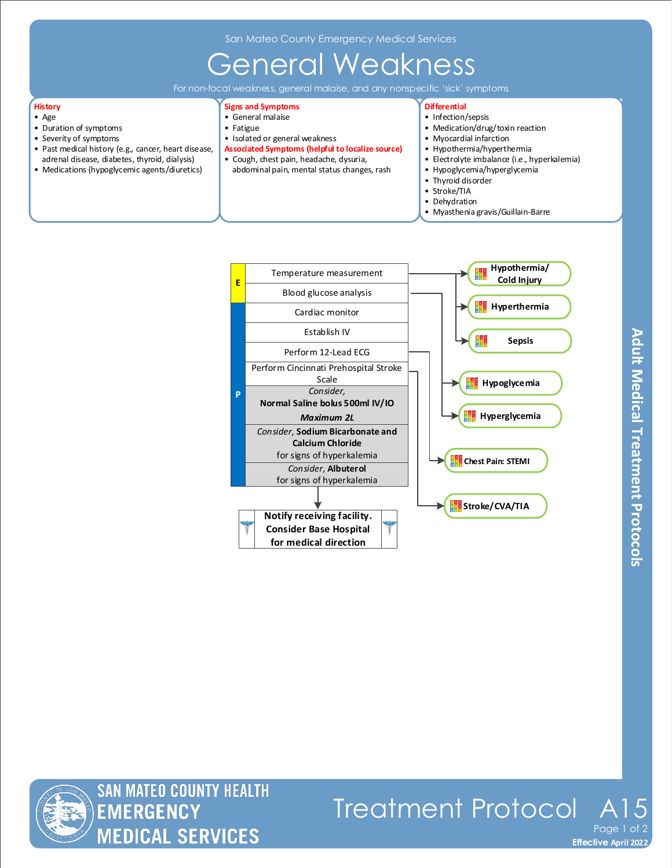## General Weakness

For non-focal weakness, general malaise, and any nonspecific 'sick' symptoms

## **History**

- Age • Duration of symptoms
- Severity of symptoms
- Past medical history (e.g., cancer, heart disease, adrenal disease, diabetes, thyroid, dialysis)
- Medications (hypoglycemic agents/diuretics)

#### **Signs and Symptoms**

- General malaise
- Fatigue
- Isolated or general weakness
- **Associated Symptoms (helpful to localize source)**
- Cough, chest pain, headache, dysuria, abdominal pain, mental status changes, rash

### **Differential**

- Infection/sepsis
- Medication/drug/toxin reaction
- Myocardial infarction
- Hypothermia/hyperthermia
- Electrolyte imbalance (i.e., hyperkalemia)
- Hypoglycemia/hyperglycemia<br>• Thyroid disorder Thyroid disorder
- Stroke/TIA
- Dehydration
- Myasthenia gravis/Guillain-Barre



**Effective November 2018 Effective April 2022**

Page 1

Treatment Protocol A